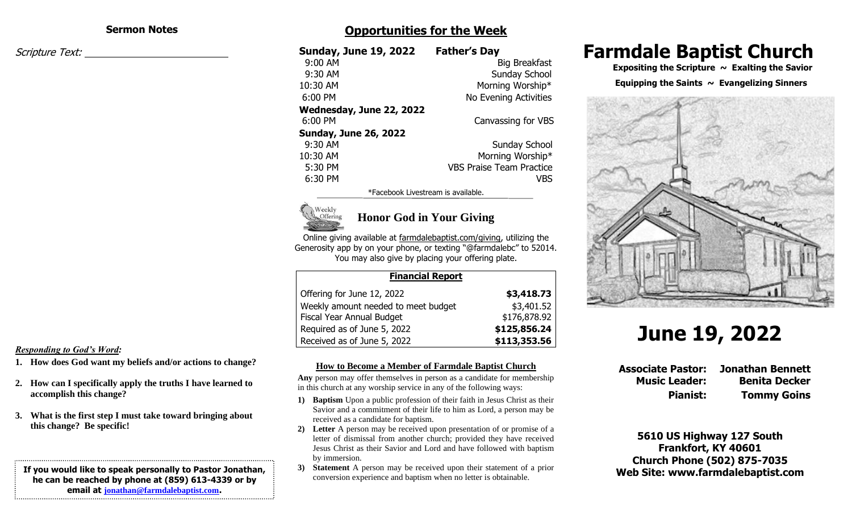#### **Sermon Notes**

Scripture Text:

## **Opportunities for the Week**

| <b>Sunday, June 19, 2022</b> | <b>Father's Day</b>             |
|------------------------------|---------------------------------|
| 9:00 AM                      | Big Breakfast                   |
| 9:30 AM                      | Sunday School                   |
| 10:30 AM                     | Morning Worship*                |
| 6:00 PM                      | No Evening Activities           |
| Wednesday, June 22, 2022     |                                 |
| $6:00$ PM                    | Canvassing for VBS              |
| <b>Sunday, June 26, 2022</b> |                                 |
| 9:30 AM                      | Sunday School                   |
| 10:30 AM                     | Morning Worship*                |
| 5:30 PM                      | <b>VBS Praise Team Practice</b> |
| 6:30 PM                      | VBS                             |
|                              |                                 |

\*Facebook Livestream is available.



## **Honor God in Your Giving**

Online giving available at farmdalebaptist.com/giving, utilizing the Generosity app by on your phone, or texting "@farmdalebc" to 52014. You may also give by placing your offering plate.

| <b>Financial Report</b>             |              |
|-------------------------------------|--------------|
| Offering for June 12, 2022          | \$3,418.73   |
| Weekly amount needed to meet budget | \$3,401.52   |
| Fiscal Year Annual Budget           | \$176,878.92 |
| Required as of June 5, 2022         | \$125,856.24 |
| Received as of June 5, 2022         | \$113,353.56 |

#### *Responding to God's Word:*

- **1. How does God want my beliefs and/or actions to change?**
- **2. How can I specifically apply the truths I have learned to accomplish this change?**
- **3. What is the first step I must take toward bringing about this change? Be specific!**

#### **If you would like to speak personally to Pastor Jonathan, he can be reached by phone at (859) 613-4339 or by email at [jonathan@farmdalebaptist.com](mailto:jonathan@farmdalebaptist.com).**

**How to Become a Member of Farmdale Baptist Church**

**Any** person may offer themselves in person as a candidate for membership in this church at any worship service in any of the following ways:

- **1) Baptism** Upon a public profession of their faith in Jesus Christ as their Savior and a commitment of their life to him as Lord, a person may be received as a candidate for baptism.
- **2) Letter** A person may be received upon presentation of or promise of a letter of dismissal from another church; provided they have received Jesus Christ as their Savior and Lord and have followed with baptism by immersion.
- **3) Statement** A person may be received upon their statement of a prior conversion experience and baptism when no letter is obtainable.

# **Farmdale Baptist Church**

 **Expositing the Scripture ~ Exalting the Savior**

#### **Equipping the Saints ~ Evangelizing Sinners**



# **June 19, 2022**

**Associate Pastor: Jonathan Bennett Music Leader: Benita Decker Pianist: Tommy Goins**

**5610 US Highway 127 South Frankfort, KY 40601 Church Phone (502) 875-7035 Web Site: www.farmdalebaptist.com**